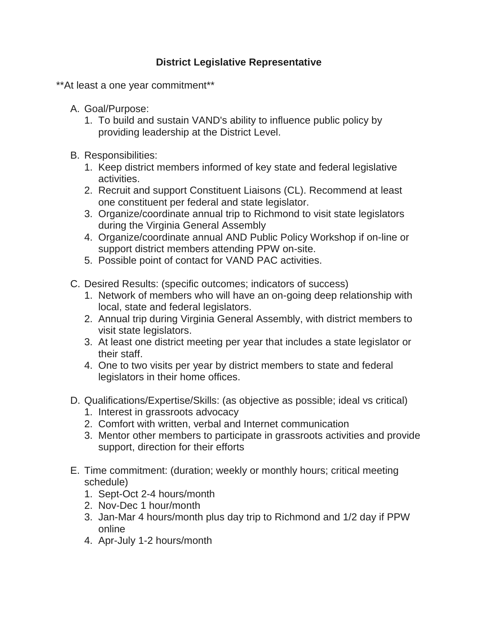## **District Legislative Representative**

\*\*At least a one year commitment\*\*

- A. Goal/Purpose:
	- 1. To build and sustain VAND's ability to influence public policy by providing leadership at the District Level.
- B. Responsibilities:
	- 1. Keep district members informed of key state and federal legislative activities.
	- 2. Recruit and support Constituent Liaisons (CL). Recommend at least one constituent per federal and state legislator.
	- 3. Organize/coordinate annual trip to Richmond to visit state legislators during the Virginia General Assembly
	- 4. Organize/coordinate annual AND Public Policy Workshop if on-line or support district members attending PPW on-site.
	- 5. Possible point of contact for VAND PAC activities.
- C. Desired Results: (specific outcomes; indicators of success)
	- 1. Network of members who will have an on-going deep relationship with local, state and federal legislators.
	- 2. Annual trip during Virginia General Assembly, with district members to visit state legislators.
	- 3. At least one district meeting per year that includes a state legislator or their staff.
	- 4. One to two visits per year by district members to state and federal legislators in their home offices.
- D. Qualifications/Expertise/Skills: (as objective as possible; ideal vs critical)
	- 1. Interest in grassroots advocacy
	- 2. Comfort with written, verbal and Internet communication
	- 3. Mentor other members to participate in grassroots activities and provide support, direction for their efforts
- E. Time commitment: (duration; weekly or monthly hours; critical meeting schedule)
	- 1. Sept-Oct 2-4 hours/month
	- 2. Nov-Dec 1 hour/month
	- 3. Jan-Mar 4 hours/month plus day trip to Richmond and 1/2 day if PPW online
	- 4. Apr-July 1-2 hours/month